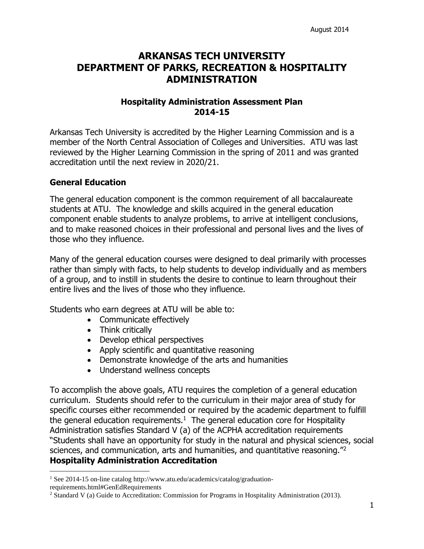# **ARKANSAS TECH UNIVERSITY DEPARTMENT OF PARKS, RECREATION & HOSPITALITY ADMINISTRATION**

## **Hospitality Administration Assessment Plan 2014-15**

Arkansas Tech University is accredited by the Higher Learning Commission and is a member of the North Central Association of Colleges and Universities. ATU was last reviewed by the Higher Learning Commission in the spring of 2011 and was granted accreditation until the next review in 2020/21.

## **General Education**

 $\overline{a}$ 

The general education component is the common requirement of all baccalaureate students at ATU. The knowledge and skills acquired in the general education component enable students to analyze problems, to arrive at intelligent conclusions, and to make reasoned choices in their professional and personal lives and the lives of those who they influence.

Many of the general education courses were designed to deal primarily with processes rather than simply with facts, to help students to develop individually and as members of a group, and to instill in students the desire to continue to learn throughout their entire lives and the lives of those who they influence.

Students who earn degrees at ATU will be able to:

- Communicate effectively
- Think critically
- Develop ethical perspectives
- Apply scientific and quantitative reasoning
- Demonstrate knowledge of the arts and humanities
- Understand wellness concepts

To accomplish the above goals, ATU requires the completion of a general education curriculum. Students should refer to the curriculum in their major area of study for specific courses either recommended or required by the academic department to fulfill the general education requirements. $1$  The general education core for Hospitality Administration satisfies Standard V (a) of the ACPHA accreditation requirements "Students shall have an opportunity for study in the natural and physical sciences, social sciences, and communication, arts and humanities, and quantitative reasoning.<sup>"2</sup> **Hospitality Administration Accreditation**

<sup>&</sup>lt;sup>1</sup> See 2014-15 on-line catalog http://www.atu.edu/academics/catalog/graduationrequirements.html#GenEdRequirements

<sup>2</sup> Standard V (a) Guide to Accreditation: Commission for Programs in Hospitality Administration (2013).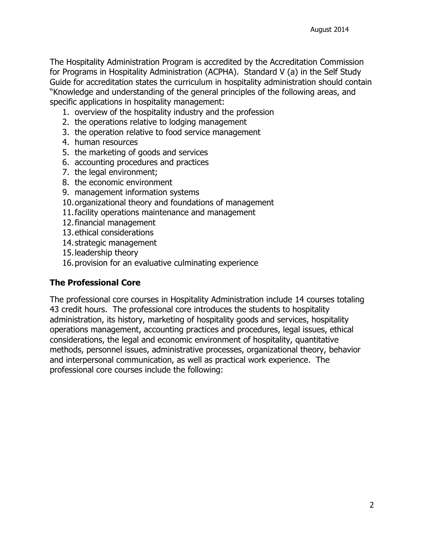The Hospitality Administration Program is accredited by the Accreditation Commission for Programs in Hospitality Administration (ACPHA). Standard V (a) in the Self Study Guide for accreditation states the curriculum in hospitality administration should contain "Knowledge and understanding of the general principles of the following areas, and specific applications in hospitality management:

- 1. overview of the hospitality industry and the profession
- 2. the operations relative to lodging management
- 3. the operation relative to food service management
- 4. human resources
- 5. the marketing of goods and services
- 6. accounting procedures and practices
- 7. the legal environment;
- 8. the economic environment
- 9. management information systems
- 10.organizational theory and foundations of management
- 11.facility operations maintenance and management
- 12.financial management
- 13.ethical considerations
- 14.strategic management
- 15.leadership theory
- 16.provision for an evaluative culminating experience

## **The Professional Core**

The professional core courses in Hospitality Administration include 14 courses totaling 43 credit hours. The professional core introduces the students to hospitality administration, its history, marketing of hospitality goods and services, hospitality operations management, accounting practices and procedures, legal issues, ethical considerations, the legal and economic environment of hospitality, quantitative methods, personnel issues, administrative processes, organizational theory, behavior and interpersonal communication, as well as practical work experience. The professional core courses include the following: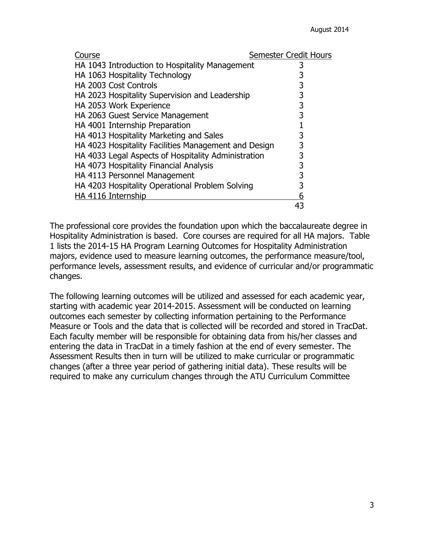| Course                                               | Semester Credit Hours |
|------------------------------------------------------|-----------------------|
| HA 1043 Introduction to Hospitality Management       | 3                     |
| HA 1063 Hospitality Technology                       |                       |
| HA 2003 Cost Controls                                | 3                     |
| HA 2023 Hospitality Supervision and Leadership       | 3                     |
| HA 2053 Work Experience                              | 3                     |
| HA 2063 Guest Service Management                     | 3                     |
| HA 4001 Internship Preparation                       |                       |
| HA 4013 Hospitality Marketing and Sales              | 3                     |
| HA 4023 Hospitality Facilities Management and Design | 3                     |
| HA 4033 Legal Aspects of Hospitality Administration  | 3                     |
| HA 4073 Hospitality Financial Analysis               | 3                     |
| HA 4113 Personnel Management                         | 3                     |
| HA 4203 Hospitality Operational Problem Solving      | 3                     |
| HA 4116 Internship                                   | 6                     |
|                                                      |                       |

The professional core provides the foundation upon which the baccalaureate degree in Hospitality Administration is based. Core courses are required for all HA majors. Table 1 lists the 2014-15 HA Program Learning Outcomes for Hospitality Administration majors, evidence used to measure learning outcomes, the performance measure/tool, performance levels, assessment results, and evidence of curricular and/or programmatic changes.

The following learning outcomes will be utilized and assessed for each academic year, starting with academic year 2014-2015. Assessment will be conducted on learning outcomes each semester by collecting information pertaining to the Performance Measure or Tools and the data that is collected will be recorded and stored in TracDat. Each faculty member will be responsible for obtaining data from his/her classes and entering the data in TracDat in a timely fashion at the end of every semester. The Assessment Results then in turn will be utilized to make curricular or programmatic changes (after a three year period of gathering initial data). These results will be required to make any curriculum changes through the ATU Curriculum Committee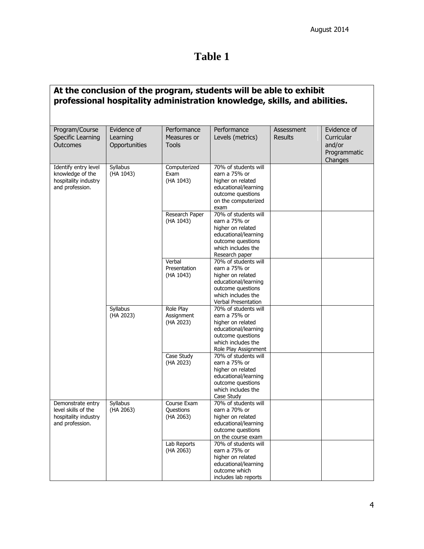# **Table 1**

|                                                                                     |                                          |                                              | At the conclusion of the program, students will be able to exhibit<br>professional hospitality administration knowledge, skills, and abilities.       |                              |                                                                |
|-------------------------------------------------------------------------------------|------------------------------------------|----------------------------------------------|-------------------------------------------------------------------------------------------------------------------------------------------------------|------------------------------|----------------------------------------------------------------|
| Program/Course<br>Specific Learning<br><b>Outcomes</b>                              | Evidence of<br>Learning<br>Opportunities | Performance<br>Measures or<br><b>Tools</b>   | Performance<br>Levels (metrics)                                                                                                                       | Assessment<br><b>Results</b> | Evidence of<br>Curricular<br>and/or<br>Programmatic<br>Changes |
| Identify entry level<br>knowledge of the<br>hospitality industry<br>and profession. | Syllabus<br>(HA 1043)                    | Computerized<br>Exam<br>(HA 1043)            | 70% of students will<br>earn a 75% or<br>higher on related<br>educational/learning<br>outcome questions<br>on the computerized<br>exam                |                              |                                                                |
|                                                                                     |                                          | Research Paper<br>(HA 1043)                  | 70% of students will<br>earn a 75% or<br>higher on related<br>educational/learning<br>outcome questions<br>which includes the<br>Research paper       |                              |                                                                |
|                                                                                     |                                          | Verbal<br>Presentation<br>(HA 1043)          | 70% of students will<br>earn a 75% or<br>higher on related<br>educational/learning<br>outcome questions<br>which includes the<br>Verbal Presentation  |                              |                                                                |
|                                                                                     | <b>Syllabus</b><br>(HA 2023)             | <b>Role Play</b><br>Assignment<br>(HA 2023)  | 70% of students will<br>earn a 75% or<br>higher on related<br>educational/learning<br>outcome questions<br>which includes the<br>Role Play Assignment |                              |                                                                |
|                                                                                     |                                          | Case Study<br>(HA 2023)                      | 70% of students will<br>earn a 75% or<br>higher on related<br>educational/learning<br>outcome questions<br>which includes the<br>Case Study           |                              |                                                                |
| Demonstrate entry<br>level skills of the<br>hospitality industry<br>and profession. | Syllabus<br>(HA 2063)                    | Course Exam<br><b>Questions</b><br>(HA 2063) | 70% of students will<br>earn a 70% or<br>higher on related<br>educational/learning<br>outcome questions<br>on the course exam                         |                              |                                                                |
|                                                                                     |                                          | Lab Reports<br>(HA 2063)                     | 70% of students will<br>earn a 75% or<br>higher on related<br>educational/learning<br>outcome which<br>includes lab reports                           |                              |                                                                |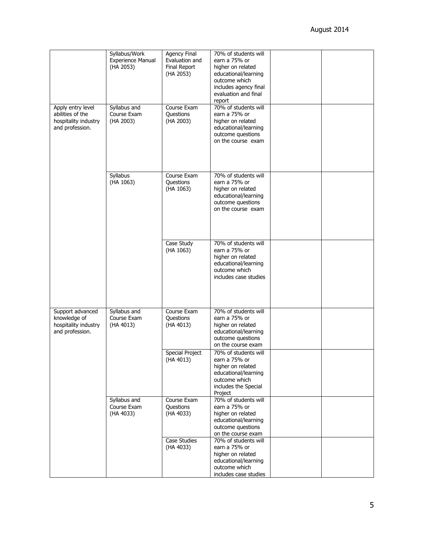|                                                                                  | Syllabus/Work<br><b>Experience Manual</b><br>(HA 2053) | <b>Agency Final</b><br>Evaluation and<br><b>Final Report</b><br>(HA 2053) | 70% of students will<br>earn a 75% or<br>higher on related<br>educational/learning<br>outcome which<br>includes agency final<br>evaluation and final<br>report |  |
|----------------------------------------------------------------------------------|--------------------------------------------------------|---------------------------------------------------------------------------|----------------------------------------------------------------------------------------------------------------------------------------------------------------|--|
| Apply entry level<br>abilities of the<br>hospitality industry<br>and profession. | Syllabus and<br>Course Exam<br>(HA 2003)               | Course Exam<br>Questions<br>(HA 2003)                                     | 70% of students will<br>earn a 75% or<br>higher on related<br>educational/learning<br>outcome questions<br>on the course exam                                  |  |
|                                                                                  | Syllabus<br>(HA 1063)                                  | Course Exam<br>Questions<br>(HA 1063)                                     | 70% of students will<br>earn a 75% or<br>higher on related<br>educational/learning<br>outcome questions<br>on the course exam                                  |  |
|                                                                                  |                                                        | Case Study<br>(HA 1063)                                                   | 70% of students will<br>earn a 75% or<br>higher on related<br>educational/learning<br>outcome which<br>includes case studies                                   |  |
| Support advanced<br>knowledge of<br>hospitality industry<br>and profession.      | Syllabus and<br>Course Exam<br>(HA 4013)               | Course Exam<br>Questions<br>(HA 4013)                                     | 70% of students will<br>earn a 75% or<br>higher on related<br>educational/learning<br>outcome questions<br>on the course exam                                  |  |
|                                                                                  |                                                        | <b>Special Project</b><br>(HA 4013)                                       | 70% of students will<br>earn a 75% or<br>higher on related<br>educational/learning<br>outcome which<br>includes the Special<br>Project                         |  |
|                                                                                  | Syllabus and<br>Course Exam<br>(HA 4033)               | Course Exam<br>Questions<br>(HA 4033)                                     | 70% of students will<br>earn a 75% or<br>higher on related<br>educational/learning<br>outcome questions<br>on the course exam                                  |  |
|                                                                                  |                                                        | Case Studies<br>(HA 4033)                                                 | 70% of students will<br>earn a 75% or<br>higher on related<br>educational/learning<br>outcome which<br>includes case studies                                   |  |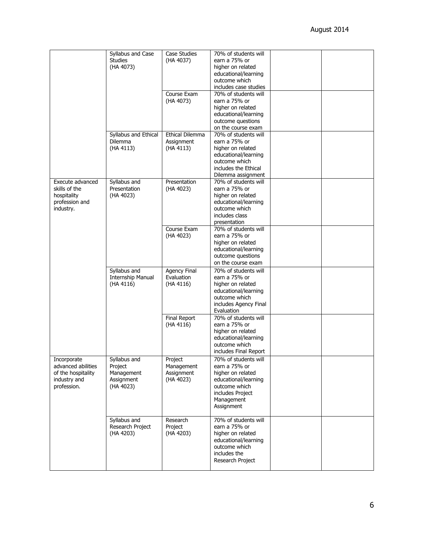|                    |                      |                        | 70% of students will  |  |
|--------------------|----------------------|------------------------|-----------------------|--|
|                    | Syllabus and Case    | <b>Case Studies</b>    | earn a 75% or         |  |
|                    | <b>Studies</b>       | (HA 4037)              |                       |  |
|                    | (HA 4073)            |                        | higher on related     |  |
|                    |                      |                        | educational/learning  |  |
|                    |                      |                        | outcome which         |  |
|                    |                      |                        | includes case studies |  |
|                    |                      | Course Exam            | 70% of students will  |  |
|                    |                      | (HA 4073)              | earn a 75% or         |  |
|                    |                      |                        | higher on related     |  |
|                    |                      |                        | educational/learning  |  |
|                    |                      |                        | outcome questions     |  |
|                    |                      |                        | on the course exam    |  |
|                    | Syllabus and Ethical | <b>Ethical Dilemma</b> | 70% of students will  |  |
|                    | <b>Dilemma</b>       | Assignment             | earn a 75% or         |  |
|                    | (HA 4113)            | (HA 4113)              | higher on related     |  |
|                    |                      |                        | educational/learning  |  |
|                    |                      |                        | outcome which         |  |
|                    |                      |                        | includes the Ethical  |  |
|                    |                      |                        | Dilemma assignment    |  |
| Execute advanced   | Syllabus and         | Presentation           | 70% of students will  |  |
| skills of the      | Presentation         | (HA 4023)              | earn a 75% or         |  |
| hospitality        | (HA 4023)            |                        | higher on related     |  |
| profession and     |                      |                        | educational/learning  |  |
| industry.          |                      |                        | outcome which         |  |
|                    |                      |                        | includes class        |  |
|                    |                      |                        | presentation          |  |
|                    |                      | Course Exam            | 70% of students will  |  |
|                    |                      | (HA 4023)              | earn a 75% or         |  |
|                    |                      |                        | higher on related     |  |
|                    |                      |                        | educational/learning  |  |
|                    |                      |                        | outcome questions     |  |
|                    |                      |                        | on the course exam    |  |
|                    |                      |                        |                       |  |
|                    | Syllabus and         | <b>Agency Final</b>    | 70% of students will  |  |
|                    | Internship Manual    | Evaluation             | earn a 75% or         |  |
|                    | (HA 4116)            | (HA 4116)              | higher on related     |  |
|                    |                      |                        | educational/learning  |  |
|                    |                      |                        | outcome which         |  |
|                    |                      |                        | includes Agency Final |  |
|                    |                      |                        | Evaluation            |  |
|                    |                      | Final Report           | 70% of students will  |  |
|                    |                      | (HA 4116)              | earn a 75% or         |  |
|                    |                      |                        | higher on related     |  |
|                    |                      |                        | educational/learning  |  |
|                    |                      |                        | outcome which         |  |
|                    |                      |                        | includes Final Report |  |
| Incorporate        | Syllabus and         | Project                | 70% of students will  |  |
| advanced abilities | Project              | Management             | earn a 75% or         |  |
| of the hospitality | Management           | Assignment             | higher on related     |  |
| industry and       | Assignment           | (HA 4023)              | educational/learning  |  |
| profession.        | (HA 4023)            |                        | outcome which         |  |
|                    |                      |                        | includes Project      |  |
|                    |                      |                        | Management            |  |
|                    |                      |                        | Assignment            |  |
|                    |                      |                        |                       |  |
|                    | Syllabus and         | Research               | 70% of students will  |  |
|                    | Research Project     | Project                | earn a 75% or         |  |
|                    | (HA 4203)            | (HA 4203)              | higher on related     |  |
|                    |                      |                        | educational/learning  |  |
|                    |                      |                        | outcome which         |  |
|                    |                      |                        | includes the          |  |
|                    |                      |                        | Research Project      |  |
|                    |                      |                        |                       |  |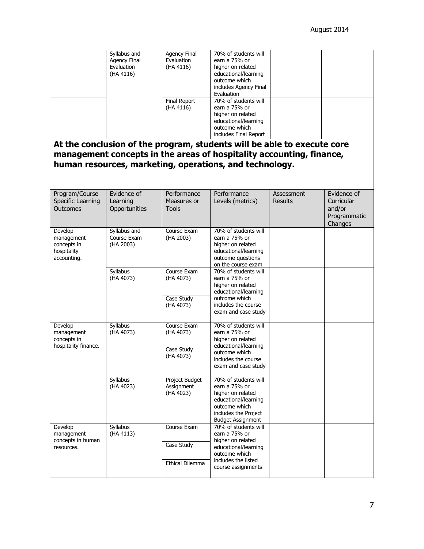|                                                                                                                                                                                                                                     | Syllabus and<br><b>Agency Final</b><br>Evaluation<br>(HA 4116) | Agency Final<br>Evaluation<br>(HA 4116)<br><b>Final Report</b><br>(HA 4116) | 70% of students will<br>earn a 75% or<br>higher on related<br>educational/learning<br>outcome which<br>includes Agency Final<br>Evaluation<br>70% of students will<br>earn a 75% or<br>higher on related<br>educational/learning<br>outcome which |                              |                                                                |  |  |  |
|-------------------------------------------------------------------------------------------------------------------------------------------------------------------------------------------------------------------------------------|----------------------------------------------------------------|-----------------------------------------------------------------------------|---------------------------------------------------------------------------------------------------------------------------------------------------------------------------------------------------------------------------------------------------|------------------------------|----------------------------------------------------------------|--|--|--|
| includes Final Report<br>At the conclusion of the program, students will be able to execute core<br>management concepts in the areas of hospitality accounting, finance,<br>human resources, marketing, operations, and technology. |                                                                |                                                                             |                                                                                                                                                                                                                                                   |                              |                                                                |  |  |  |
| Program/Course<br>Specific Learning<br>Outcomes                                                                                                                                                                                     | Evidence of<br>Learning<br>Opportunities                       | Performance<br>Measures or<br><b>Tools</b>                                  | Performance<br>Levels (metrics)                                                                                                                                                                                                                   | Assessment<br><b>Results</b> | Evidence of<br>Curricular<br>and/or<br>Programmatic<br>Changes |  |  |  |
| Develop<br>management<br>concepts in<br>hospitality<br>accounting.                                                                                                                                                                  | Syllabus and<br>Course Exam<br>(HA 2003)                       | Course Exam<br>(HA 2003)                                                    | 70% of students will<br>earn a 75% or<br>higher on related<br>educational/learning<br>outcome questions<br>on the course exam                                                                                                                     |                              |                                                                |  |  |  |
|                                                                                                                                                                                                                                     | Syllabus<br>(HA 4073)                                          | Course Exam<br>(HA 4073)<br>Case Study<br>(HA 4073)                         | 70% of students will<br>earn a 75% or<br>higher on related<br>educational/learning<br>outcome which<br>includes the course<br>exam and case study                                                                                                 |                              |                                                                |  |  |  |
| Develop<br>management<br>concepts in<br>hospitality finance.                                                                                                                                                                        | Syllabus<br>(HA 4073)                                          | Course Exam<br>(HA 4073)<br>Case Study<br>(HA 4073)                         | 70% of students will<br>earn a 75% or<br>higher on related<br>educational/learning<br>outcome which<br>includes the course<br>exam and case study                                                                                                 |                              |                                                                |  |  |  |
|                                                                                                                                                                                                                                     | Syllabus<br>(HA 4023)                                          | Project Budget<br>Assignment<br>(HA 4023)                                   | 70% of students will<br>earn a 75% or<br>higher on related<br>educational/learning<br>outcome which<br>includes the Project<br><b>Budget Assignment</b>                                                                                           |                              |                                                                |  |  |  |
| Develop<br>management<br>concepts in human<br>resources.                                                                                                                                                                            | Syllabus<br>(HA 4113)                                          | Course Exam<br>Case Study<br><b>Ethical Dilemma</b>                         | 70% of students will<br>earn a 75% or<br>higher on related<br>educational/learning<br>outcome which<br>includes the listed<br>course assignments                                                                                                  |                              |                                                                |  |  |  |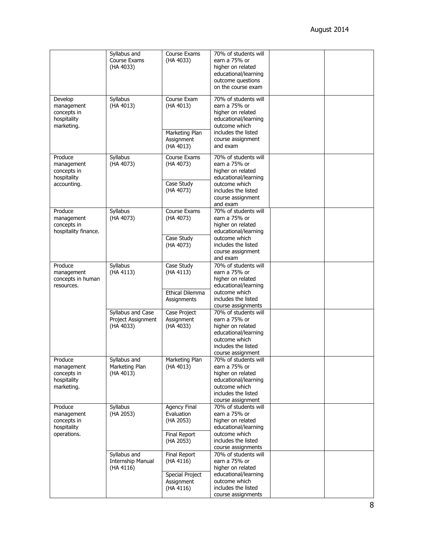|                                                                    | Syllabus and<br>Course Exams<br>(HA 4033)            | Course Exams<br>(HA 4033)                                                      | 70% of students will<br>earn a 75% or<br>higher on related<br>educational/learning<br>outcome questions<br>on the course exam                                         |  |
|--------------------------------------------------------------------|------------------------------------------------------|--------------------------------------------------------------------------------|-----------------------------------------------------------------------------------------------------------------------------------------------------------------------|--|
| Develop<br>management<br>concepts in<br>hospitality<br>marketing.  | Syllabus<br>(HA 4013)                                | Course Exam<br>(HA 4013)<br>Marketing Plan<br>Assignment                       | 70% of students will<br>earn a 75% or<br>higher on related<br>educational/learning<br>outcome which<br>includes the listed<br>course assignment                       |  |
|                                                                    |                                                      | (HA 4013)                                                                      | and exam                                                                                                                                                              |  |
| Produce<br>management<br>concepts in<br>hospitality<br>accounting. | Syllabus<br>(HA 4073)                                | Course Exams<br>(HA 4073)<br>Case Study<br>(HA 4073)                           | 70% of students will<br>earn a 75% or<br>higher on related<br>educational/learning<br>outcome which<br>includes the listed<br>course assignment<br>and exam           |  |
| Produce<br>management<br>concepts in<br>hospitality finance.       | Syllabus<br>(HA 4073)                                | Course Exams<br>(HA 4073)<br>Case Study<br>(HA 4073)                           | 70% of students will<br>earn a 75% or<br>higher on related<br>educational/learning<br>outcome which<br>includes the listed<br>course assignment                       |  |
| Produce<br>management<br>concepts in human<br>resources.           | Syllabus<br>(HA 4113)                                | Case Study<br>(HA 4113)<br><b>Ethical Dilemma</b><br>Assignments               | and exam<br>70% of students will<br>earn a 75% or<br>higher on related<br>educational/learning<br>outcome which<br>includes the listed                                |  |
|                                                                    | Syllabus and Case<br>Project Assignment<br>(HA 4033) | Case Project<br>Assignment<br>(HA 4033)                                        | course assignments<br>70% of students will<br>earn a 75% or<br>higher on related<br>educational/learning<br>outcome which<br>includes the listed<br>course assignment |  |
| Produce<br>management<br>concepts in<br>hospitality<br>marketing.  | Syllabus and<br>Marketing Plan<br>(HA 4013)          | Marketing Plan<br>(HA 4013)                                                    | 70% of students will<br>earn a 75% or<br>higher on related<br>educational/learning<br>outcome which<br>includes the listed<br>course assignment                       |  |
| Produce<br>management<br>concepts in<br>hospitality<br>operations. | Syllabus<br>(HA 2053)                                | Agency Final<br>Evaluation<br>(HA 2053)<br><b>Final Report</b><br>(HA 2053)    | 70% of students will<br>earn a 75% or<br>higher on related<br>educational/learning<br>outcome which<br>includes the listed<br>course assignments                      |  |
|                                                                    | Syllabus and<br>Internship Manual<br>(HA 4116)       | Final Report<br>(HA 4116)<br><b>Special Project</b><br>Assignment<br>(HA 4116) | 70% of students will<br>earn a 75% or<br>higher on related<br>educational/learning<br>outcome which<br>includes the listed<br>course assignments                      |  |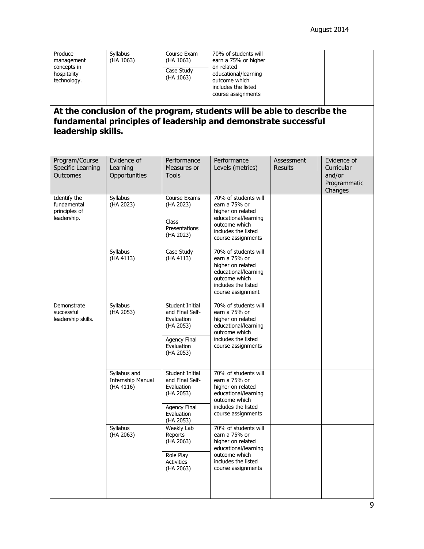| Produce<br>management<br>concepts in<br>hospitality<br>technology. | <b>Syllabus</b><br>(HA 1063)                   | Course Exam<br>(HA 1063)<br>Case Study<br>(HA 1063)                                                             | 70% of students will<br>earn a 75% or higher<br>on related<br>educational/learning<br>outcome which<br>includes the listed<br>course assignments |                              |                                                                |
|--------------------------------------------------------------------|------------------------------------------------|-----------------------------------------------------------------------------------------------------------------|--------------------------------------------------------------------------------------------------------------------------------------------------|------------------------------|----------------------------------------------------------------|
| leadership skills.                                                 |                                                |                                                                                                                 | At the conclusion of the program, students will be able to describe the<br>fundamental principles of leadership and demonstrate successful       |                              |                                                                |
| Program/Course<br>Specific Learning<br>Outcomes                    | Evidence of<br>Learning<br>Opportunities       | Performance<br>Measures or<br><b>Tools</b>                                                                      | Performance<br>Levels (metrics)                                                                                                                  | Assessment<br><b>Results</b> | Evidence of<br>Curricular<br>and/or<br>Programmatic<br>Changes |
| Identify the<br>fundamental<br>principles of<br>leadership.        | Syllabus<br>(HA 2023)                          | Course Exams<br>(HA 2023)<br>Class<br>Presentations<br>(HA 2023)                                                | 70% of students will<br>earn a 75% or<br>higher on related<br>educational/learning<br>outcome which<br>includes the listed<br>course assignments |                              |                                                                |
|                                                                    | Syllabus<br>(HA 4113)                          | Case Study<br>(HA 4113)                                                                                         | 70% of students will<br>earn a 75% or<br>higher on related<br>educational/learning<br>outcome which<br>includes the listed<br>course assignment  |                              |                                                                |
| Demonstrate<br>successful<br>leadership skills.                    | Syllabus<br>(HA 2053)                          | Student Initial<br>and Final Self-<br>Evaluation<br>(HA 2053)<br>Agency Final<br>Evaluation<br>(HA 2053)        | 70% of students will<br>earn a 75% or<br>higher on related<br>educational/learning<br>outcome which<br>includes the listed<br>course assignments |                              |                                                                |
|                                                                    | Syllabus and<br>Internship Manual<br>(HA 4116) | Student Initial<br>and Final Self-<br>Evaluation<br>(HA 2053)<br><b>Agency Final</b><br>Evaluation<br>(HA 2053) | 70% of students will<br>earn a 75% or<br>higher on related<br>educational/learning<br>outcome which<br>includes the listed<br>course assignments |                              |                                                                |
|                                                                    | Syllabus<br>(HA 2063)                          | <b>Weekly Lab</b><br>Reports<br>(HA 2063)<br>Role Play<br><b>Activities</b><br>(HA 2063)                        | 70% of students will<br>earn a 75% or<br>higher on related<br>educational/learning<br>outcome which<br>includes the listed<br>course assignments |                              |                                                                |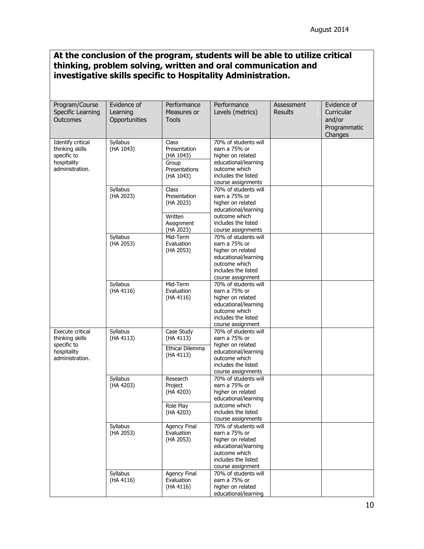# **At the conclusion of the program, students will be able to utilize critical thinking, problem solving, written and oral communication and investigative skills specific to Hospitality Administration.**

| Program/Course<br>Specific Learning<br>Outcomes                                       | Evidence of<br>Learning<br>Opportunities | Performance<br>Measures or<br><b>Tools</b>                                | Performance<br>Levels (metrics)                                                                                                                  | Assessment<br><b>Results</b> | Evidence of<br>Curricular<br>and/or<br>Programmatic<br>Changes |
|---------------------------------------------------------------------------------------|------------------------------------------|---------------------------------------------------------------------------|--------------------------------------------------------------------------------------------------------------------------------------------------|------------------------------|----------------------------------------------------------------|
| Identify critical<br>thinking skills<br>specific to<br>hospitality<br>administration. | Syllabus<br>(HA 1043)                    | Class<br>Presentation<br>(HA 1043)<br>Group<br>Presentations<br>(HA 1043) | 70% of students will<br>earn a 75% or<br>higher on related<br>educational/learning<br>outcome which<br>includes the listed<br>course assignments |                              |                                                                |
|                                                                                       | Syllabus<br>(HA 2023)                    | Class<br>Presentation<br>(HA 2023)<br>Written<br>Assignment<br>(HA 2023)  | 70% of students will<br>earn a 75% or<br>higher on related<br>educational/learning<br>outcome which<br>includes the listed<br>course assignments |                              |                                                                |
|                                                                                       | Syllabus<br>(HA 2053)                    | Mid-Term<br>Evaluation<br>(HA 2053)                                       | 70% of students will<br>earn a 75% or<br>higher on related<br>educational/learning<br>outcome which<br>includes the listed<br>course assignment  |                              |                                                                |
|                                                                                       | Syllabus<br>(HA 4116)                    | Mid-Term<br>Evaluation<br>(HA 4116)                                       | 70% of students will<br>earn a 75% or<br>higher on related<br>educational/learning<br>outcome which<br>includes the listed<br>course assignment  |                              |                                                                |
| Execute critical<br>thinking skills<br>specific to<br>hospitality<br>administration.  | Syllabus<br>(HA 4113)                    | Case Study<br>(HA 4113)<br>Ethical Dilemma<br>(HA 4113)                   | 70% of students will<br>earn a 75% or<br>higher on related<br>educational/learning<br>outcome which<br>includes the listed<br>course assignments |                              |                                                                |
|                                                                                       | Syllabus<br>(HA 4203)                    | Research<br>Project<br>(HA 4203)<br>Role Play<br>(HA 4203)                | 70% of students will<br>earn a 75% or<br>higher on related<br>educational/learning<br>outcome which<br>includes the listed<br>course assignments |                              |                                                                |
|                                                                                       | Syllabus<br>(HA 2053)                    | Agency Final<br>Evaluation<br>(HA 2053)                                   | 70% of students will<br>earn a 75% or<br>higher on related<br>educational/learning<br>outcome which<br>includes the listed<br>course assignment  |                              |                                                                |
|                                                                                       | Syllabus<br>(HA 4116)                    | Agency Final<br>Evaluation<br>(HA 4116)                                   | 70% of students will<br>earn a 75% or<br>higher on related<br>educational/learning                                                               |                              |                                                                |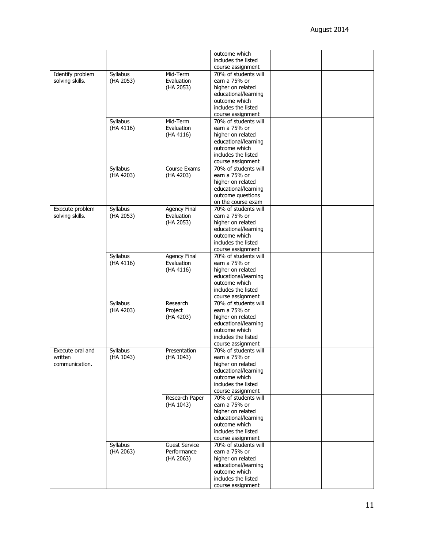|                  |           |                      | outcome which<br>includes the listed |  |
|------------------|-----------|----------------------|--------------------------------------|--|
|                  |           |                      | course assignment                    |  |
| Identify problem | Syllabus  | Mid-Term             | 70% of students will                 |  |
|                  |           |                      |                                      |  |
| solving skills.  | (HA 2053) | Evaluation           | earn a 75% or                        |  |
|                  |           | (HA 2053)            | higher on related                    |  |
|                  |           |                      | educational/learning                 |  |
|                  |           |                      | outcome which                        |  |
|                  |           |                      | includes the listed                  |  |
|                  |           |                      | course assignment                    |  |
|                  | Syllabus  | Mid-Term             | 70% of students will                 |  |
|                  | (HA 4116) | Evaluation           | earn a 75% or                        |  |
|                  |           |                      |                                      |  |
|                  |           | (HA 4116)            | higher on related                    |  |
|                  |           |                      | educational/learning                 |  |
|                  |           |                      | outcome which                        |  |
|                  |           |                      | includes the listed                  |  |
|                  |           |                      | course assignment                    |  |
|                  | Syllabus  | Course Exams         | 70% of students will                 |  |
|                  | (HA 4203) | (HA 4203)            | earn a 75% or                        |  |
|                  |           |                      | higher on related                    |  |
|                  |           |                      | educational/learning                 |  |
|                  |           |                      |                                      |  |
|                  |           |                      | outcome questions                    |  |
|                  |           |                      | on the course exam                   |  |
| Execute problem  | Syllabus  | Agency Final         | 70% of students will                 |  |
| solving skills.  | (HA 2053) | Evaluation           | earn a 75% or                        |  |
|                  |           | (HA 2053)            | higher on related                    |  |
|                  |           |                      | educational/learning                 |  |
|                  |           |                      | outcome which                        |  |
|                  |           |                      | includes the listed                  |  |
|                  |           |                      | course assignment                    |  |
|                  | Syllabus  | <b>Agency Final</b>  | 70% of students will                 |  |
|                  |           |                      |                                      |  |
|                  | (HA 4116) | Evaluation           | earn a 75% or                        |  |
|                  |           | (HA 4116)            | higher on related                    |  |
|                  |           |                      | educational/learning                 |  |
|                  |           |                      | outcome which                        |  |
|                  |           |                      | includes the listed                  |  |
|                  |           |                      | course assignment                    |  |
|                  | Syllabus  | Research             | 70% of students will                 |  |
|                  | (HA 4203) | Project              | earn a 75% or                        |  |
|                  |           | (HA 4203)            | higher on related                    |  |
|                  |           |                      | educational/learning                 |  |
|                  |           |                      | outcome which                        |  |
|                  |           |                      | includes the listed                  |  |
|                  |           |                      |                                      |  |
|                  |           |                      | course assignment                    |  |
| Execute oral and | Syllabus  | Presentation         | 70% of students will                 |  |
| written          | (HA 1043) | (HA 1043)            | earn a 75% or                        |  |
| communication.   |           |                      | higher on related                    |  |
|                  |           |                      | educational/learning                 |  |
|                  |           |                      | outcome which                        |  |
|                  |           |                      | includes the listed                  |  |
|                  |           |                      | course assignment                    |  |
|                  |           | Research Paper       | 70% of students will                 |  |
|                  |           | (HA 1043)            | earn a 75% or                        |  |
|                  |           |                      | higher on related                    |  |
|                  |           |                      |                                      |  |
|                  |           |                      | educational/learning                 |  |
|                  |           |                      | outcome which                        |  |
|                  |           |                      | includes the listed                  |  |
|                  |           |                      | course assignment                    |  |
|                  | Syllabus  | <b>Guest Service</b> | 70% of students will                 |  |
|                  | (HA 2063) | Performance          | earn a 75% or                        |  |
|                  |           | (HA 2063)            | higher on related                    |  |
|                  |           |                      | educational/learning                 |  |
|                  |           |                      | outcome which                        |  |
|                  |           |                      | includes the listed                  |  |
|                  |           |                      |                                      |  |
|                  |           |                      | course assignment                    |  |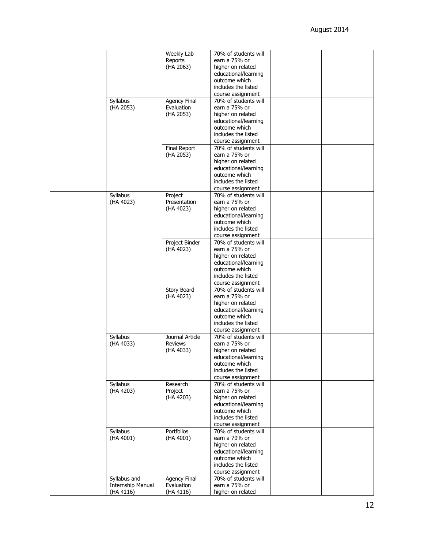|  |                   | Weekly Lab          | 70% of students will                  |  |
|--|-------------------|---------------------|---------------------------------------|--|
|  |                   | Reports             | earn a 75% or                         |  |
|  |                   | (HA 2063)           | higher on related                     |  |
|  |                   |                     | educational/learning                  |  |
|  |                   |                     | outcome which                         |  |
|  |                   |                     | includes the listed                   |  |
|  |                   |                     | course assignment                     |  |
|  | Syllabus          | <b>Agency Final</b> | 70% of students will                  |  |
|  | (HA 2053)         | Evaluation          | earn a 75% or                         |  |
|  |                   |                     |                                       |  |
|  |                   | (HA 2053)           | higher on related                     |  |
|  |                   |                     | educational/learning                  |  |
|  |                   |                     | outcome which                         |  |
|  |                   |                     | includes the listed                   |  |
|  |                   |                     | course assignment                     |  |
|  |                   | Final Report        | 70% of students will                  |  |
|  |                   | (HA 2053)           | earn a 75% or                         |  |
|  |                   |                     | higher on related                     |  |
|  |                   |                     | educational/learning                  |  |
|  |                   |                     | outcome which                         |  |
|  |                   |                     | includes the listed                   |  |
|  |                   |                     | course assignment                     |  |
|  | Syllabus          | Project             | 70% of students will                  |  |
|  | (HA 4023)         | Presentation        | earn a 75% or                         |  |
|  |                   | (HA 4023)           | higher on related                     |  |
|  |                   |                     | educational/learning                  |  |
|  |                   |                     | outcome which                         |  |
|  |                   |                     | includes the listed                   |  |
|  |                   |                     |                                       |  |
|  |                   |                     | course assignment                     |  |
|  |                   | Project Binder      | 70% of students will                  |  |
|  |                   | (HA 4023)           | earn a 75% or                         |  |
|  |                   |                     | higher on related                     |  |
|  |                   |                     | educational/learning                  |  |
|  |                   |                     | outcome which                         |  |
|  |                   |                     | includes the listed                   |  |
|  |                   |                     | course assignment                     |  |
|  |                   | <b>Story Board</b>  | 70% of students will                  |  |
|  |                   | (HA 4023)           | earn a 75% or                         |  |
|  |                   |                     | higher on related                     |  |
|  |                   |                     | educational/learning                  |  |
|  |                   |                     | outcome which                         |  |
|  |                   |                     | includes the listed                   |  |
|  |                   |                     | course assignment                     |  |
|  | Syllabus          | Journal Article     | 70% of students will                  |  |
|  | (HA 4033)         | <b>Reviews</b>      | earn a 75% or                         |  |
|  |                   | (HA 4033)           | higher on related                     |  |
|  |                   |                     |                                       |  |
|  |                   |                     | educational/learning<br>outcome which |  |
|  |                   |                     | includes the listed                   |  |
|  |                   |                     |                                       |  |
|  |                   |                     | course assignment                     |  |
|  | Syllabus          | Research            | 70% of students will                  |  |
|  | (HA 4203)         | Project             | earn a 75% or                         |  |
|  |                   | (HA 4203)           | higher on related                     |  |
|  |                   |                     | educational/learning                  |  |
|  |                   |                     | outcome which                         |  |
|  |                   |                     | includes the listed                   |  |
|  |                   |                     | course assignment                     |  |
|  | Syllabus          | Portfolios          | 70% of students will                  |  |
|  | (HA 4001)         | (HA 4001)           | earn a 70% or                         |  |
|  |                   |                     | higher on related                     |  |
|  |                   |                     | educational/learning                  |  |
|  |                   |                     | outcome which                         |  |
|  |                   |                     | includes the listed                   |  |
|  |                   |                     | course assignment                     |  |
|  | Syllabus and      | <b>Agency Final</b> | 70% of students will                  |  |
|  | Internship Manual | Evaluation          | earn a 75% or                         |  |
|  | (HA 4116)         | (HA 4116)           | higher on related                     |  |
|  |                   |                     |                                       |  |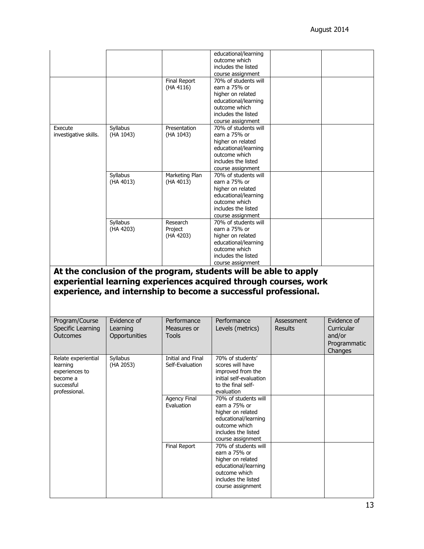|                            |               |                   | educational/learning                                                                                                                |                |              |
|----------------------------|---------------|-------------------|-------------------------------------------------------------------------------------------------------------------------------------|----------------|--------------|
|                            |               |                   | outcome which                                                                                                                       |                |              |
|                            |               |                   | includes the listed                                                                                                                 |                |              |
|                            |               |                   | course assignment                                                                                                                   |                |              |
|                            |               | Final Report      | 70% of students will                                                                                                                |                |              |
|                            |               | (HA 4116)         | earn a 75% or<br>higher on related                                                                                                  |                |              |
|                            |               |                   | educational/learning                                                                                                                |                |              |
|                            |               |                   | outcome which                                                                                                                       |                |              |
|                            |               |                   | includes the listed                                                                                                                 |                |              |
|                            |               |                   | course assignment                                                                                                                   |                |              |
| Execute                    | Syllabus      | Presentation      | 70% of students will                                                                                                                |                |              |
| investigative skills.      | (HA 1043)     | (HA 1043)         | earn a 75% or                                                                                                                       |                |              |
|                            |               |                   | higher on related                                                                                                                   |                |              |
|                            |               |                   | educational/learning                                                                                                                |                |              |
|                            |               |                   | outcome which                                                                                                                       |                |              |
|                            |               |                   | includes the listed<br>course assignment                                                                                            |                |              |
|                            | Syllabus      | Marketing Plan    | 70% of students will                                                                                                                |                |              |
|                            | (HA 4013)     | (HA 4013)         | earn a 75% or                                                                                                                       |                |              |
|                            |               |                   | higher on related                                                                                                                   |                |              |
|                            |               |                   | educational/learning                                                                                                                |                |              |
|                            |               |                   | outcome which                                                                                                                       |                |              |
|                            |               |                   | includes the listed                                                                                                                 |                |              |
|                            |               |                   | course assignment                                                                                                                   |                |              |
|                            | Syllabus      | Research          | 70% of students will                                                                                                                |                |              |
|                            | (HA 4203)     | Project           | earn a 75% or                                                                                                                       |                |              |
|                            |               | (HA 4203)         | higher on related<br>educational/learning                                                                                           |                |              |
|                            |               |                   | outcome which                                                                                                                       |                |              |
|                            |               |                   | includes the listed                                                                                                                 |                |              |
|                            |               |                   |                                                                                                                                     |                |              |
|                            |               |                   | course assignment<br>At the conclusion of the program, students will be able to apply                                               |                |              |
|                            |               |                   | experiential learning experiences acquired through courses, work<br>experience, and internship to become a successful professional. |                |              |
|                            |               |                   |                                                                                                                                     |                |              |
| Program/Course             | Evidence of   | Performance       | Performance                                                                                                                         | Assessment     | Evidence of  |
| Specific Learning          | Learning      | Measures or       | Levels (metrics)                                                                                                                    | <b>Results</b> | Curricular   |
| Outcomes                   | Opportunities | <b>Tools</b>      |                                                                                                                                     |                | and/or       |
|                            |               |                   |                                                                                                                                     |                | Programmatic |
|                            |               |                   |                                                                                                                                     |                | Changes      |
| Relate experiential        | Syllabus      | Initial and Final | 70% of students'                                                                                                                    |                |              |
| learning                   | (HA 2053)     | Self-Evaluation   | scores will have                                                                                                                    |                |              |
| experiences to<br>become a |               |                   | improved from the<br>initial self-evaluation                                                                                        |                |              |
| successful                 |               |                   | to the final self-                                                                                                                  |                |              |
| professional.              |               |                   | evaluation                                                                                                                          |                |              |
|                            |               | Agency Final      | 70% of students will                                                                                                                |                |              |
|                            |               | Evaluation        | earn a 75% or                                                                                                                       |                |              |
|                            |               |                   | higher on related                                                                                                                   |                |              |
|                            |               |                   | educational/learning                                                                                                                |                |              |
|                            |               |                   | outcome which                                                                                                                       |                |              |
|                            |               |                   | includes the listed<br>course assignment                                                                                            |                |              |
|                            |               | Final Report      | 70% of students will                                                                                                                |                |              |
|                            |               |                   | earn a 75% or                                                                                                                       |                |              |
|                            |               |                   | higher on related                                                                                                                   |                |              |
|                            |               |                   | educational/learning                                                                                                                |                |              |
|                            |               |                   | outcome which                                                                                                                       |                |              |
|                            |               |                   | includes the listed<br>course assignment                                                                                            |                |              |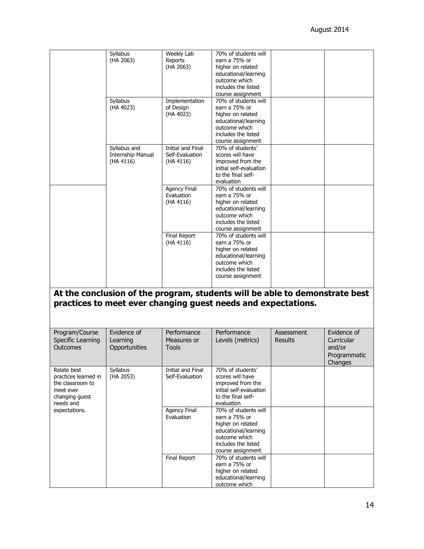|                                                                                                     | Syllabus<br>(HA 2063)                          | Weekly Lab<br>Reports<br>(HA 2063)                       | 70% of students will<br>earn a 75% or<br>higher on related<br>educational/learning<br>outcome which<br>includes the listed<br>course assignment |                              |                                                                |
|-----------------------------------------------------------------------------------------------------|------------------------------------------------|----------------------------------------------------------|-------------------------------------------------------------------------------------------------------------------------------------------------|------------------------------|----------------------------------------------------------------|
|                                                                                                     | Syllabus<br>(HA 4023)                          | Implementation<br>of Design<br>(HA 4023)                 | 70% of students will<br>earn a 75% or<br>higher on related<br>educational/learning<br>outcome which<br>includes the listed<br>course assignment |                              |                                                                |
|                                                                                                     | Syllabus and<br>Internship Manual<br>(HA 4116) | <b>Initial and Final</b><br>Self-Evaluation<br>(HA 4116) | 70% of students'<br>scores will have<br>improved from the<br>initial self-evaluation<br>to the final self-<br>evaluation                        |                              |                                                                |
|                                                                                                     |                                                | Agency Final<br>Evaluation<br>(HA 4116)                  | 70% of students will<br>earn a 75% or<br>higher on related<br>educational/learning<br>outcome which<br>includes the listed<br>course assignment |                              |                                                                |
|                                                                                                     |                                                | Final Report<br>(HA 4116)                                | 70% of students will<br>earn a 75% or<br>higher on related<br>educational/learning<br>outcome which<br>includes the listed<br>course assignment |                              |                                                                |
|                                                                                                     |                                                |                                                          | At the conclusion of the program, students will be able to demonstrate best<br>practices to meet ever changing guest needs and expectations.    |                              |                                                                |
| Program/Course<br>Specific Learning<br>Outcomes                                                     | Evidence of<br>Learning<br>Opportunities       | Performance<br>Measures or<br>Tools                      | Performance<br>Levels (metrics)                                                                                                                 | Assessment<br><b>Results</b> | Evidence of<br>Curricular<br>and/or<br>Programmatic<br>Changes |
| Relate best<br>practices learned in<br>the classroom to<br>meet ever<br>changing guest<br>needs and | Syllabus<br>(HA 2053)                          | Initial and Final<br>Self-Evaluation                     | 70% of students'<br>scores will have<br>improved from the<br>initial self-evaluation<br>to the final self-<br>evaluation                        |                              |                                                                |
| expectations.                                                                                       |                                                | <b>Agency Final</b><br>Evaluation                        | 70% of students will<br>earn a 75% or<br>higher on related<br>educational/learning<br>outcome which<br>includes the listed<br>course assignment |                              |                                                                |
|                                                                                                     |                                                | Final Report                                             | 70% of students will<br>earn a 75% or<br>higher on related<br>educational/learning<br>outcome which                                             |                              |                                                                |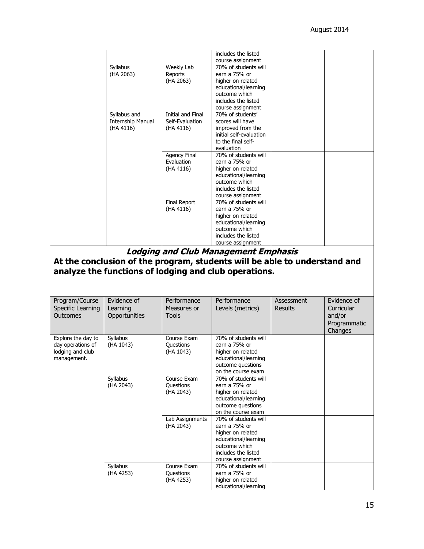|                                         |                   |                          | includes the listed                                                       |                |              |
|-----------------------------------------|-------------------|--------------------------|---------------------------------------------------------------------------|----------------|--------------|
|                                         |                   |                          | course assignment                                                         |                |              |
|                                         | Syllabus          | Weekly Lab               | 70% of students will                                                      |                |              |
|                                         | (HA 2063)         | Reports                  | earn a 75% or                                                             |                |              |
|                                         |                   | (HA 2063)                | higher on related                                                         |                |              |
|                                         |                   |                          | educational/learning                                                      |                |              |
|                                         |                   |                          | outcome which                                                             |                |              |
|                                         |                   |                          | includes the listed                                                       |                |              |
|                                         |                   |                          | course assignment                                                         |                |              |
|                                         | Syllabus and      | <b>Initial and Final</b> | 70% of students'                                                          |                |              |
|                                         | Internship Manual | Self-Evaluation          | scores will have                                                          |                |              |
|                                         | (HA 4116)         | (HA 4116)                | improved from the                                                         |                |              |
|                                         |                   |                          | initial self-evaluation                                                   |                |              |
|                                         |                   |                          | to the final self-                                                        |                |              |
|                                         |                   |                          | evaluation                                                                |                |              |
|                                         |                   | <b>Agency Final</b>      | 70% of students will                                                      |                |              |
|                                         |                   | Evaluation               | earn a 75% or                                                             |                |              |
|                                         |                   | (HA 4116)                | higher on related                                                         |                |              |
|                                         |                   |                          | educational/learning                                                      |                |              |
|                                         |                   |                          | outcome which                                                             |                |              |
|                                         |                   |                          | includes the listed                                                       |                |              |
|                                         |                   | <b>Final Report</b>      | course assignment<br>70% of students will                                 |                |              |
|                                         |                   | (HA 4116)                | earn a 75% or                                                             |                |              |
|                                         |                   |                          |                                                                           |                |              |
|                                         |                   |                          | higher on related<br>educational/learning                                 |                |              |
|                                         |                   |                          | outcome which                                                             |                |              |
|                                         |                   |                          | includes the listed                                                       |                |              |
|                                         |                   |                          | course assignment                                                         |                |              |
|                                         |                   |                          |                                                                           |                |              |
|                                         |                   |                          | <b>Lodging and Club Management Emphasis</b>                               |                |              |
|                                         |                   |                          | At the conclusion of the program, students will be able to understand and |                |              |
|                                         |                   |                          | analyze the functions of lodging and club operations.                     |                |              |
|                                         |                   |                          |                                                                           |                |              |
| Program/Course                          | Evidence of       | Performance              | Performance                                                               | Assessment     | Evidence of  |
| Specific Learning                       | Learning          | Measures or              | Levels (metrics)                                                          | <b>Results</b> | Curricular   |
| Outcomes                                | Opportunities     | Tools                    |                                                                           |                | and/or       |
|                                         |                   |                          |                                                                           |                | Programmatic |
|                                         |                   |                          |                                                                           |                |              |
|                                         |                   | Course Exam              | 70% of students will                                                      |                | Changes      |
| Explore the day to<br>day operations of | Syllabus          | <b>Questions</b>         | earn a 75% or                                                             |                |              |
| lodging and club                        | (HA 1043)         | (HA 1043)                | higher on related                                                         |                |              |
| management.                             |                   |                          | educational/learning                                                      |                |              |
|                                         |                   |                          | outcome questions                                                         |                |              |
|                                         |                   |                          | on the course exam                                                        |                |              |
|                                         | Syllabus          | Course Exam              | 70% of students will                                                      |                |              |
|                                         | (HA 2043)         | Questions                | earn a 75% or                                                             |                |              |
|                                         |                   | (HA 2043)                | higher on related                                                         |                |              |
|                                         |                   |                          | educational/learning                                                      |                |              |
|                                         |                   |                          | outcome questions                                                         |                |              |
|                                         |                   |                          | on the course exam                                                        |                |              |
|                                         |                   | Lab Assignments          | 70% of students will                                                      |                |              |
|                                         |                   | (HA 2043)                | earn a 75% or                                                             |                |              |
|                                         |                   |                          | higher on related                                                         |                |              |
|                                         |                   |                          | educational/learning                                                      |                |              |
|                                         |                   |                          | outcome which                                                             |                |              |
|                                         |                   |                          | includes the listed                                                       |                |              |
|                                         |                   |                          | course assignment                                                         |                |              |
|                                         | Syllabus          | Course Exam              | 70% of students will                                                      |                |              |
|                                         | (HA 4253)         | Questions                | earn a 75% or                                                             |                |              |
|                                         |                   | (HA 4253)                | higher on related<br>educational/learning                                 |                |              |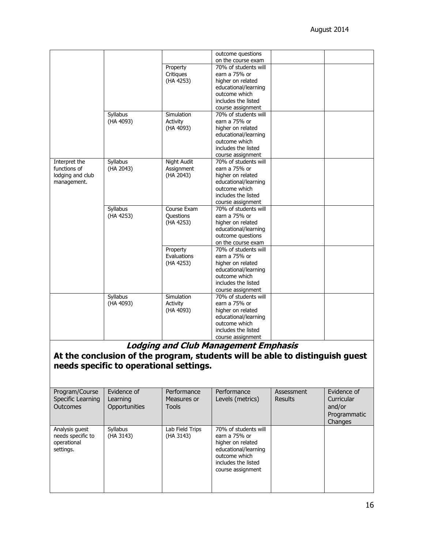|                  |           |                    | outcome questions                          |
|------------------|-----------|--------------------|--------------------------------------------|
|                  |           |                    |                                            |
|                  |           |                    | on the course exam                         |
|                  |           | Property           | 70% of students will                       |
|                  |           | Critiques          | earn a 75% or                              |
|                  |           | (HA 4253)          | higher on related                          |
|                  |           |                    | educational/learning                       |
|                  |           |                    | outcome which                              |
|                  |           |                    | includes the listed                        |
|                  |           |                    | course assignment                          |
|                  | Syllabus  | Simulation         | 70% of students will                       |
|                  | (HA 4093) | Activity           | earn a 75% or                              |
|                  |           | (HA 4093)          | higher on related                          |
|                  |           |                    | educational/learning                       |
|                  |           |                    | outcome which                              |
|                  |           |                    | includes the listed                        |
|                  |           |                    | course assignment                          |
| Interpret the    | Syllabus  | <b>Night Audit</b> | 70% of students will                       |
| functions of     | (HA 2043) | Assignment         | earn a 75% or                              |
| lodging and club |           | (HA 2043)          | higher on related                          |
| management.      |           |                    | educational/learning                       |
|                  |           |                    | outcome which                              |
|                  |           |                    | includes the listed                        |
|                  |           |                    | course assignment                          |
|                  | Syllabus  | Course Exam        | 70% of students will                       |
|                  | (HA 4253) | <b>Questions</b>   | earn a 75% or                              |
|                  |           |                    | higher on related                          |
|                  |           | (HA 4253)          |                                            |
|                  |           |                    | educational/learning                       |
|                  |           |                    | outcome questions                          |
|                  |           |                    | on the course exam<br>70% of students will |
|                  |           | Property           |                                            |
|                  |           | Evaluations        | earn a 75% or                              |
|                  |           | (HA 4253)          | higher on related                          |
|                  |           |                    | educational/learning                       |
|                  |           |                    | outcome which                              |
|                  |           |                    | includes the listed                        |
|                  |           |                    | course assignment                          |
|                  | Syllabus  | Simulation         | 70% of students will                       |
|                  | (HA 4093) | Activity           | earn a 75% or                              |
|                  |           | (HA 4093)          | higher on related                          |
|                  |           |                    | educational/learning                       |
|                  |           |                    | outcome which                              |
|                  |           |                    | includes the listed                        |
|                  |           |                    | course assignment                          |

**Lodging and Club Management Emphasis**

**At the conclusion of the program, students will be able to distinguish guest needs specific to operational settings.** 

| Program/Course<br>Specific Learning<br><b>Outcomes</b>          | Evidence of<br>Learning<br>Opportunities | Performance<br>Measures or<br>Tools | Performance<br>Levels (metrics)                                                                                                                 | Assessment<br><b>Results</b> | Evidence of<br>Curricular<br>and/or<br>Programmatic<br>Changes |
|-----------------------------------------------------------------|------------------------------------------|-------------------------------------|-------------------------------------------------------------------------------------------------------------------------------------------------|------------------------------|----------------------------------------------------------------|
| Analysis quest<br>needs specific to<br>operational<br>settings. | Syllabus<br>(HA 3143)                    | Lab Field Trips<br>(HA 3143)        | 70% of students will<br>earn a 75% or<br>higher on related<br>educational/learning<br>outcome which<br>includes the listed<br>course assignment |                              |                                                                |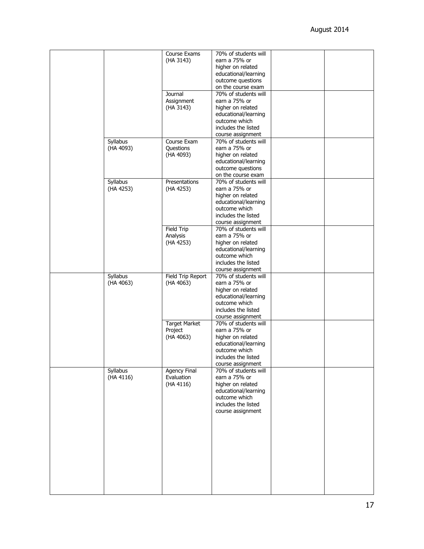|           | Course Exams         | 70% of students will |  |
|-----------|----------------------|----------------------|--|
|           | (HA 3143)            | earn a 75% or        |  |
|           |                      | higher on related    |  |
|           |                      | educational/learning |  |
|           |                      | outcome questions    |  |
|           |                      |                      |  |
|           |                      | on the course exam   |  |
|           | Journal              | 70% of students will |  |
|           | Assignment           | earn a 75% or        |  |
|           | (HA 3143)            | higher on related    |  |
|           |                      |                      |  |
|           |                      | educational/learning |  |
|           |                      | outcome which        |  |
|           |                      | includes the listed  |  |
|           |                      | course assignment    |  |
| Syllabus  | Course Exam          | 70% of students will |  |
| (HA 4093) | Questions            | earn a 75% or        |  |
|           |                      |                      |  |
|           | (HA 4093)            | higher on related    |  |
|           |                      | educational/learning |  |
|           |                      | outcome questions    |  |
|           |                      | on the course exam   |  |
| Syllabus  | Presentations        | 70% of students will |  |
|           |                      | earn a 75% or        |  |
| (HA 4253) | (HA 4253)            |                      |  |
|           |                      | higher on related    |  |
|           |                      | educational/learning |  |
|           |                      | outcome which        |  |
|           |                      | includes the listed  |  |
|           |                      | course assignment    |  |
|           | <b>Field Trip</b>    | 70% of students will |  |
|           |                      | earn a 75% or        |  |
|           | Analysis             |                      |  |
|           | (HA 4253)            | higher on related    |  |
|           |                      | educational/learning |  |
|           |                      | outcome which        |  |
|           |                      | includes the listed  |  |
|           |                      | course assignment    |  |
| Syllabus  | Field Trip Report    | 70% of students will |  |
|           |                      | earn a 75% or        |  |
| (HA 4063) | (HA 4063)            |                      |  |
|           |                      | higher on related    |  |
|           |                      | educational/learning |  |
|           |                      | outcome which        |  |
|           |                      | includes the listed  |  |
|           |                      | course assignment    |  |
|           | <b>Target Market</b> | 70% of students will |  |
|           |                      | earn a 75% or        |  |
|           | Project              |                      |  |
|           | (HA 4063)            | higher on related    |  |
|           |                      | educational/learning |  |
|           |                      | outcome which        |  |
|           |                      | includes the listed  |  |
|           |                      | course assignment    |  |
| Syllabus  | <b>Agency Final</b>  | 70% of students will |  |
| (HA 4116) | Evaluation           | earn a 75% or        |  |
|           |                      |                      |  |
|           | (HA 4116)            | higher on related    |  |
|           |                      | educational/learning |  |
|           |                      | outcome which        |  |
|           |                      | includes the listed  |  |
|           |                      | course assignment    |  |
|           |                      |                      |  |
|           |                      |                      |  |
|           |                      |                      |  |
|           |                      |                      |  |
|           |                      |                      |  |
|           |                      |                      |  |
|           |                      |                      |  |
|           |                      |                      |  |
|           |                      |                      |  |
|           |                      |                      |  |
|           |                      |                      |  |
|           |                      |                      |  |
|           |                      |                      |  |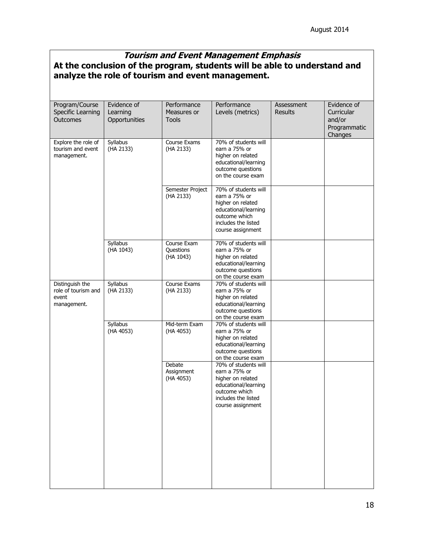# **Tourism and Event Management Emphasis At the conclusion of the program, students will be able to understand and analyze the role of tourism and event management.**

| Program/Course<br>Specific Learning<br>Outcomes                | Evidence of<br>Learning<br>Opportunities | Performance<br>Measures or<br><b>Tools</b> | Performance<br>Levels (metrics)                                                                                                                 | Assessment<br><b>Results</b> | Evidence of<br>Curricular<br>and/or<br>Programmatic<br>Changes |
|----------------------------------------------------------------|------------------------------------------|--------------------------------------------|-------------------------------------------------------------------------------------------------------------------------------------------------|------------------------------|----------------------------------------------------------------|
| Explore the role of<br>tourism and event<br>management.        | Syllabus<br>(HA 2133)                    | Course Exams<br>(HA 2133)                  | 70% of students will<br>earn a 75% or<br>higher on related<br>educational/learning<br>outcome questions<br>on the course exam                   |                              |                                                                |
|                                                                |                                          | Semester Project<br>(HA 2133)              | 70% of students will<br>earn a 75% or<br>higher on related<br>educational/learning<br>outcome which<br>includes the listed<br>course assignment |                              |                                                                |
|                                                                | Syllabus<br>(HA 1043)                    | Course Exam<br>Questions<br>(HA 1043)      | 70% of students will<br>earn a 75% or<br>higher on related<br>educational/learning<br>outcome questions<br>on the course exam                   |                              |                                                                |
| Distinguish the<br>role of tourism and<br>event<br>management. | Syllabus<br>(HA 2133)                    | Course Exams<br>(HA 2133)                  | 70% of students will<br>earn a 75% or<br>higher on related<br>educational/learning<br>outcome questions<br>on the course exam                   |                              |                                                                |
|                                                                | Syllabus<br>(HA 4053)                    | Mid-term Exam<br>(HA 4053)                 | 70% of students will<br>earn a 75% or<br>higher on related<br>educational/learning<br>outcome questions<br>on the course exam                   |                              |                                                                |
|                                                                |                                          | Debate<br>Assignment<br>(HA 4053)          | 70% of students will<br>earn a 75% or<br>higher on related<br>educational/learning<br>outcome which<br>includes the listed<br>course assignment |                              |                                                                |
|                                                                |                                          |                                            |                                                                                                                                                 |                              |                                                                |
|                                                                |                                          |                                            |                                                                                                                                                 |                              |                                                                |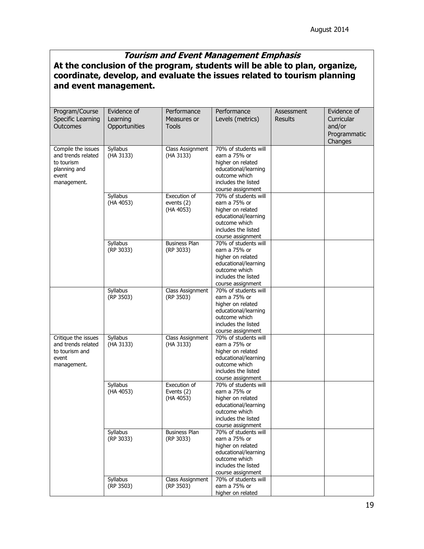## **Tourism and Event Management Emphasis At the conclusion of the program, students will be able to plan, organize, coordinate, develop, and evaluate the issues related to tourism planning and event management.**

| Program/Course                   | Evidence of           | Performance          | Performance                               | Assessment     | Evidence of  |
|----------------------------------|-----------------------|----------------------|-------------------------------------------|----------------|--------------|
| Specific Learning                | Learning              | Measures or          | Levels (metrics)                          | <b>Results</b> | Curricular   |
| Outcomes                         | Opportunities         | <b>Tools</b>         |                                           |                | and/or       |
|                                  |                       |                      |                                           |                | Programmatic |
|                                  |                       |                      |                                           |                | Changes      |
| Compile the issues               | Syllabus              | Class Assignment     | 70% of students will                      |                |              |
| and trends related<br>to tourism | (HA 3133)             | (HA 3133)            | earn a 75% or<br>higher on related        |                |              |
| planning and                     |                       |                      | educational/learning                      |                |              |
| event                            |                       |                      | outcome which                             |                |              |
| management.                      |                       |                      | includes the listed                       |                |              |
|                                  |                       |                      | course assignment                         |                |              |
|                                  | Syllabus              | Execution of         | 70% of students will                      |                |              |
|                                  | (HA 4053)             | events $(2)$         | earn a 75% or                             |                |              |
|                                  |                       | (HA 4053)            | higher on related                         |                |              |
|                                  |                       |                      | educational/learning                      |                |              |
|                                  |                       |                      | outcome which                             |                |              |
|                                  |                       |                      | includes the listed                       |                |              |
|                                  |                       | <b>Business Plan</b> | course assignment<br>70% of students will |                |              |
|                                  | Syllabus<br>(RP 3033) | (RP 3033)            | earn a 75% or                             |                |              |
|                                  |                       |                      | higher on related                         |                |              |
|                                  |                       |                      | educational/learning                      |                |              |
|                                  |                       |                      | outcome which                             |                |              |
|                                  |                       |                      | includes the listed                       |                |              |
|                                  |                       |                      | course assignment                         |                |              |
|                                  | Syllabus              | Class Assignment     | 70% of students will                      |                |              |
|                                  | (RP 3503)             | (RP 3503)            | earn a 75% or                             |                |              |
|                                  |                       |                      | higher on related                         |                |              |
|                                  |                       |                      | educational/learning                      |                |              |
|                                  |                       |                      | outcome which                             |                |              |
|                                  |                       |                      | includes the listed<br>course assignment  |                |              |
| Critique the issues              | Syllabus              | Class Assignment     | 70% of students will                      |                |              |
| and trends related               | (HA 3133)             | (HA 3133)            | earn a 75% or                             |                |              |
| to tourism and                   |                       |                      | higher on related                         |                |              |
| event                            |                       |                      | educational/learning                      |                |              |
| management.                      |                       |                      | outcome which                             |                |              |
|                                  |                       |                      | includes the listed                       |                |              |
|                                  |                       |                      | course assignment                         |                |              |
|                                  | <b>Syllabus</b>       | Execution of         | 70% of students will                      |                |              |
|                                  | (HA 4053)             | Events (2)           | earn a 75% or                             |                |              |
|                                  |                       | (HA 4053)            | higher on related                         |                |              |
|                                  |                       |                      | educational/learning<br>outcome which     |                |              |
|                                  |                       |                      | includes the listed                       |                |              |
|                                  |                       |                      | course assignment                         |                |              |
|                                  | Syllabus              | <b>Business Plan</b> | 70% of students will                      |                |              |
|                                  | (RP 3033)             | (RP 3033)            | earn a 75% or                             |                |              |
|                                  |                       |                      | higher on related                         |                |              |
|                                  |                       |                      | educational/learning                      |                |              |
|                                  |                       |                      | outcome which                             |                |              |
|                                  |                       |                      | includes the listed                       |                |              |
|                                  |                       |                      | course assignment                         |                |              |
|                                  | Syllabus              | Class Assignment     | 70% of students will                      |                |              |
|                                  | (RP 3503)             | (RP 3503)            | earn a 75% or<br>higher on related        |                |              |
|                                  |                       |                      |                                           |                |              |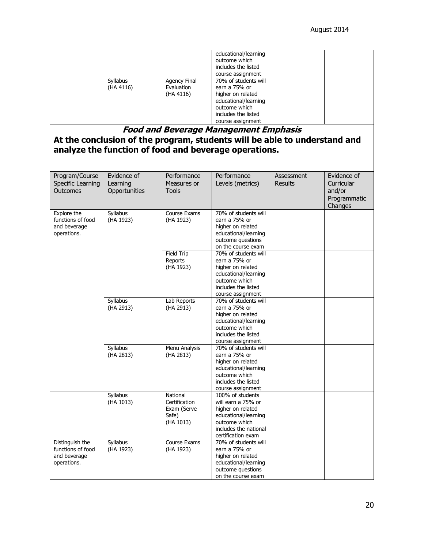|                       |                                         | educational/learning<br>outcome which<br>includes the listed<br>course assignment                                                               |  |
|-----------------------|-----------------------------------------|-------------------------------------------------------------------------------------------------------------------------------------------------|--|
| Syllabus<br>(HA 4116) | Agency Final<br>Evaluation<br>(HA 4116) | 70% of students will<br>earn a 75% or<br>higher on related<br>educational/learning<br>outcome which<br>includes the listed<br>course assignment |  |

#### **Food and Beverage Management Emphasis**

## **At the conclusion of the program, students will be able to understand and analyze the function of food and beverage operations.**

| Program/Course<br>Specific Learning<br><b>Outcomes</b>              | Evidence of<br>Learning<br>Opportunities | Performance<br>Measures or<br><b>Tools</b>                     | Performance<br>Levels (metrics)                                                                                                                     | Assessment<br><b>Results</b> | Evidence of<br>Curricular<br>and/or<br>Programmatic<br>Changes |
|---------------------------------------------------------------------|------------------------------------------|----------------------------------------------------------------|-----------------------------------------------------------------------------------------------------------------------------------------------------|------------------------------|----------------------------------------------------------------|
| Explore the<br>functions of food<br>and beverage<br>operations.     | Syllabus<br>(HA 1923)                    | Course Exams<br>(HA 1923)                                      | 70% of students will<br>earn a 75% or<br>higher on related<br>educational/learning<br>outcome questions<br>on the course exam                       |                              |                                                                |
|                                                                     |                                          | Field Trip<br>Reports<br>(HA 1923)                             | 70% of students will<br>earn a 75% or<br>higher on related<br>educational/learning<br>outcome which<br>includes the listed<br>course assignment     |                              |                                                                |
|                                                                     | Syllabus<br>(HA 2913)                    | Lab Reports<br>(HA 2913)                                       | 70% of students will<br>earn a 75% or<br>higher on related<br>educational/learning<br>outcome which<br>includes the listed<br>course assignment     |                              |                                                                |
|                                                                     | Syllabus<br>(HA 2813)                    | Menu Analysis<br>(HA 2813)                                     | 70% of students will<br>earn a 75% or<br>higher on related<br>educational/learning<br>outcome which<br>includes the listed<br>course assignment     |                              |                                                                |
|                                                                     | <b>Syllabus</b><br>(HA 1013)             | National<br>Certification<br>Exam (Serve<br>Safe)<br>(HA 1013) | 100% of students<br>will earn a 75% or<br>higher on related<br>educational/learning<br>outcome which<br>includes the national<br>certification exam |                              |                                                                |
| Distinguish the<br>functions of food<br>and beverage<br>operations. | Syllabus<br>(HA 1923)                    | Course Exams<br>(HA 1923)                                      | 70% of students will<br>earn a 75% or<br>higher on related<br>educational/learning<br>outcome questions<br>on the course exam                       |                              |                                                                |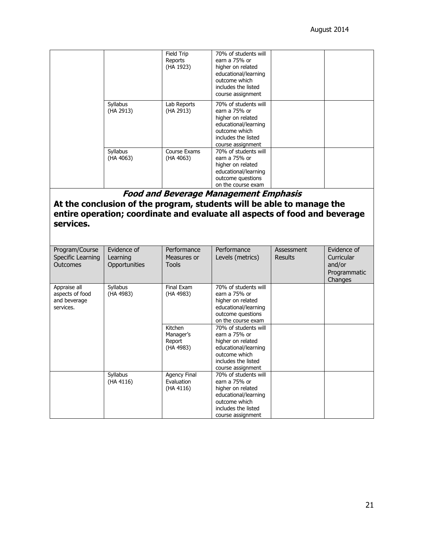|                                                                                                                                                                                                     |                                          | Field Trip<br>Reports<br>(HA 1923)          | 70% of students will<br>earn a 75% or<br>higher on related<br>educational/learning<br>outcome which<br>includes the listed<br>course assignment |                              |                                                                |
|-----------------------------------------------------------------------------------------------------------------------------------------------------------------------------------------------------|------------------------------------------|---------------------------------------------|-------------------------------------------------------------------------------------------------------------------------------------------------|------------------------------|----------------------------------------------------------------|
|                                                                                                                                                                                                     | Syllabus<br>(HA 2913)                    | Lab Reports<br>(HA 2913)                    | 70% of students will<br>earn a 75% or<br>higher on related<br>educational/learning<br>outcome which<br>includes the listed<br>course assignment |                              |                                                                |
|                                                                                                                                                                                                     | Syllabus<br>(HA 4063)                    | Course Exams<br>(HA 4063)                   | 70% of students will<br>earn a 75% or<br>higher on related<br>educational/learning<br>outcome questions<br>on the course exam                   |                              |                                                                |
| <b>Food and Beverage Management Emphasis</b><br>At the conclusion of the program, students will be able to manage the<br>entire operation; coordinate and evaluate all aspects of food and beverage |                                          |                                             |                                                                                                                                                 |                              |                                                                |
| services.                                                                                                                                                                                           |                                          |                                             |                                                                                                                                                 |                              |                                                                |
| Program/Course<br>Specific Learning<br>Outcomes                                                                                                                                                     | Evidence of<br>Learning<br>Opportunities | Performance<br>Measures or<br><b>Tools</b>  | Performance<br>Levels (metrics)                                                                                                                 | Assessment<br><b>Results</b> | Evidence of<br>Curricular<br>and/or<br>Programmatic<br>Changes |
| Appraise all<br>aspects of food<br>and beverage<br>services.                                                                                                                                        | Syllabus<br>(HA 4983)                    | Final Exam<br>(HA 4983)                     | 70% of students will<br>earn a 75% or<br>higher on related<br>educational/learning<br>outcome questions<br>on the course exam                   |                              |                                                                |
|                                                                                                                                                                                                     |                                          | Kitchen<br>Manager's<br>Report<br>(HA 4983) | 70% of students will<br>earn a 75% or<br>higher on related<br>educational/learning<br>outcome which<br>includes the listed<br>course assignment |                              |                                                                |
|                                                                                                                                                                                                     | Syllabus<br>(HA 4116)                    | Agency Final<br>Evaluation<br>(HA 4116)     | 70% of students will<br>earn a 75% or<br>higher on related<br>educational/learning<br>outcome which<br>includes the listed<br>course assignment |                              |                                                                |